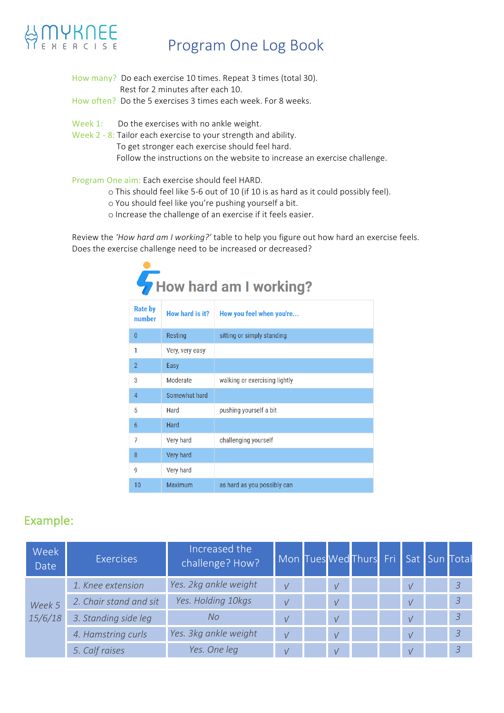## **MYKNEE**

#### Program One Log Book

- How many? Do each exercise 10 times. Repeat 3 times (total 30). Rest for 2 minutes after each 10.
- How often? Do the 5 exercises 3 times each week. For 8 weeks.
- Week  $1$ : Do the exercises with no ankle weight.
- Week 2 8: Tailor each exercise to your strength and ability.
	- To get stronger each exercise should feel hard.

Follow the instructions on the website to increase an exercise challenge.

#### Program One aim: Each exercise should feel HARD.

 $\bullet$ 

- o This should feel like 5-6 out of 10 (if 10 is as hard as it could possibly feel).
- o You should feel like you're pushing yourself a bit.
- o Increase the challenge of an exercise if it feels easier.

Review the 'How hard am I working?' table to help you figure out how hard an exercise feels. Does the exercise challenge need to be increased or decreased?

|                          |                  | How hard am I working?        |
|--------------------------|------------------|-------------------------------|
| <b>Rate by</b><br>number | How hard is it?  | How you feel when you're      |
| 0                        | Resting          | sitting or simply standing    |
| 1                        | Very, very easy  |                               |
| $\overline{2}$           | Easy             |                               |
| 3                        | Moderate         | walking or exercising lightly |
| 4                        | Somewhat hard    |                               |
| 5                        | Hard             | pushing yourself a bit        |
| 6                        | Hard             |                               |
| 7                        | <b>Very hard</b> | challenging yourself          |
| 8                        | Very hard        |                               |
| 9                        | Very hard        |                               |
| 10                       | Maximum          | as hard as you possibly can   |

#### Example:

| <b>Week</b><br>Date | <b>Exercises</b>       | Increased the<br>challenge? How? | Mon Tues Wed Thurs Fri Sat Sun Total |            |  |            |                |
|---------------------|------------------------|----------------------------------|--------------------------------------|------------|--|------------|----------------|
|                     | 1. Knee extension      | Yes. 2kg ankle weight            | $\sqrt{ }$                           | $\sqrt{ }$ |  | $\sqrt{ }$ | $\overline{3}$ |
| Week 5              | 2. Chair stand and sit | Yes. Holding 10kgs               | $\sqrt{ }$                           | $\sqrt{ }$ |  | $\sqrt{ }$ | $\mathcal{S}$  |
| 15/6/18             | 3. Standing side leg   | No                               | $\sqrt{ }$                           | $\sqrt{ }$ |  | $\sqrt{ }$ | $\overline{3}$ |
|                     | 4. Hamstring curls     | Yes. 3kg ankle weight            | $\sqrt{ }$                           | $\sqrt{ }$ |  | $\sqrt{ }$ | $\overline{3}$ |
|                     | 5. Calf raises         | Yes. One leg                     | $\sqrt{ }$                           | $\sqrt{ }$ |  | $\sqrt{ }$ |                |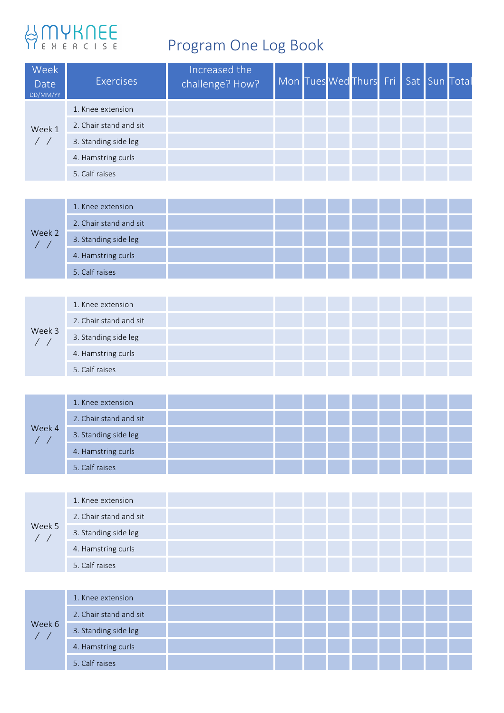# BONYKNEE

### Program One Log Book

| Week<br>Date<br>DD/MM/YY | <b>Exercises</b>       | Increased the<br>challenge? How? | Mon Tues Wed Thurs Fri Sat Sun Total |  |  |  |  |
|--------------------------|------------------------|----------------------------------|--------------------------------------|--|--|--|--|
|                          | 1. Knee extension      |                                  |                                      |  |  |  |  |
| Week 1                   | 2. Chair stand and sit |                                  |                                      |  |  |  |  |
|                          | 3. Standing side leg   |                                  |                                      |  |  |  |  |
|                          | 4. Hamstring curls     |                                  |                                      |  |  |  |  |
|                          | 5. Calf raises         |                                  |                                      |  |  |  |  |
|                          |                        |                                  |                                      |  |  |  |  |

|        | 1. Knee extension      |  |  |  |  |  |
|--------|------------------------|--|--|--|--|--|
| Week 2 | 2. Chair stand and sit |  |  |  |  |  |
|        | 3. Standing side leg   |  |  |  |  |  |
|        | 4. Hamstring curls     |  |  |  |  |  |
|        | 5. Calf raises         |  |  |  |  |  |

|        |                      | 1. Knee extension      |  |  |  |  |  |
|--------|----------------------|------------------------|--|--|--|--|--|
|        |                      | 2. Chair stand and sit |  |  |  |  |  |
| Week 3 | 3. Standing side leg |                        |  |  |  |  |  |
|        |                      | 4. Hamstring curls     |  |  |  |  |  |
|        |                      | 5. Calf raises         |  |  |  |  |  |

|        | 1. Knee extension      |  |  |  |  |  |
|--------|------------------------|--|--|--|--|--|
| Week 4 | 2. Chair stand and sit |  |  |  |  |  |
|        | 3. Standing side leg   |  |  |  |  |  |
|        | 4. Hamstring curls     |  |  |  |  |  |
|        | 5. Calf raises         |  |  |  |  |  |

| Week 5 | 1. Knee extension      |  |  |  |  |
|--------|------------------------|--|--|--|--|
|        | 2. Chair stand and sit |  |  |  |  |
|        | 3. Standing side leg   |  |  |  |  |
|        | 4. Hamstring curls     |  |  |  |  |
|        | 5. Calf raises         |  |  |  |  |

|        | 1. Knee extension      |  |  |  |  |  |
|--------|------------------------|--|--|--|--|--|
| Week 6 | 2. Chair stand and sit |  |  |  |  |  |
|        | 3. Standing side leg   |  |  |  |  |  |
|        | 4. Hamstring curls     |  |  |  |  |  |
|        | 5. Calf raises         |  |  |  |  |  |